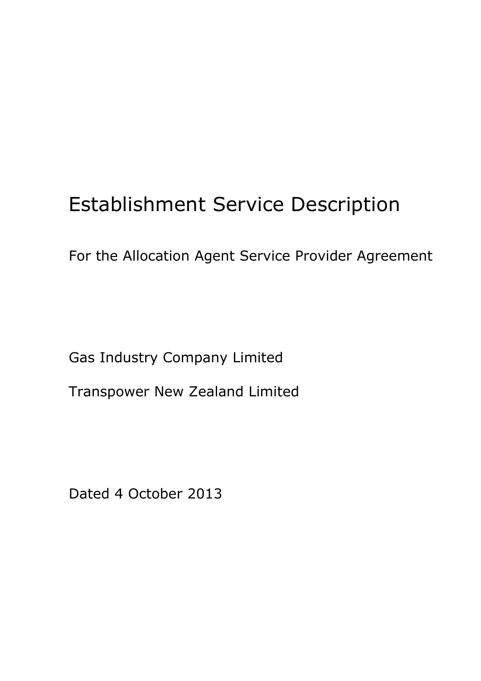# Establishment Service Description

For the Allocation Agent Service Provider Agreement

Gas Industry Company Limited

Transpower New Zealand Limited

Dated 4 October 2013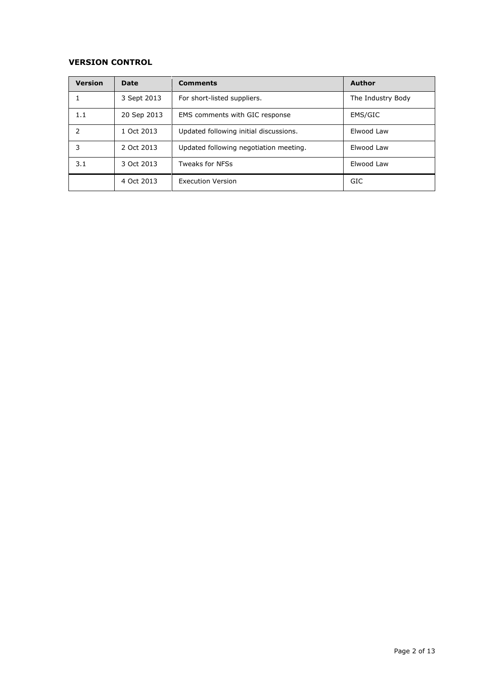### **VERSION CONTROL**

| <b>Version</b> | Date        | <b>Comments</b>                        | <b>Author</b>     |
|----------------|-------------|----------------------------------------|-------------------|
|                | 3 Sept 2013 | For short-listed suppliers.            | The Industry Body |
| 1.1            | 20 Sep 2013 | EMS comments with GIC response         | EMS/GIC           |
| 2              | 1 Oct 2013  | Updated following initial discussions. | Elwood Law        |
| 3              | 2 Oct 2013  | Updated following negotiation meeting. | Elwood Law        |
| 3.1            | 3 Oct 2013  | <b>Tweaks for NFSs</b>                 | Elwood Law        |
|                | 4 Oct 2013  | <b>Execution Version</b>               | GIC               |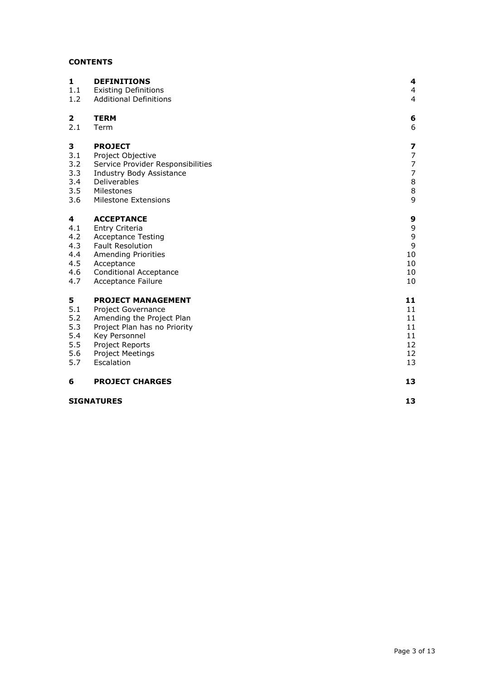# **CONTENTS**

| 1   | <b>DEFINITIONS</b>                | 4                        |
|-----|-----------------------------------|--------------------------|
| 1.1 | <b>Existing Definitions</b>       | $\overline{4}$           |
| 1.2 | <b>Additional Definitions</b>     | $\overline{4}$           |
| 2   | <b>TERM</b>                       | 6                        |
| 2.1 | Term                              | 6                        |
| 3   | <b>PROJECT</b>                    | 7                        |
| 3.1 | Project Objective                 | $\overline{7}$           |
| 3.2 | Service Provider Responsibilities | $\overline{\phantom{a}}$ |
| 3.3 | Industry Body Assistance          | $\overline{7}$           |
| 3.4 | Deliverables                      | $\,8\,$                  |
| 3.5 | Milestones                        | $\,8\,$                  |
| 3.6 | Milestone Extensions              | 9                        |
| 4   | <b>ACCEPTANCE</b>                 | 9                        |
| 4.1 | Entry Criteria                    | 9                        |
| 4.2 | <b>Acceptance Testing</b>         | $\mathsf 9$              |
| 4.3 | <b>Fault Resolution</b>           | $\mathsf 9$              |
| 4.4 | <b>Amending Priorities</b>        | 10                       |
| 4.5 | Acceptance                        | 10                       |
| 4.6 | <b>Conditional Acceptance</b>     | 10                       |
| 4.7 | Acceptance Failure                | 10                       |
| 5   | <b>PROJECT MANAGEMENT</b>         | 11                       |
| 5.1 | Project Governance                | 11                       |
| 5.2 | Amending the Project Plan         | 11                       |
| 5.3 | Project Plan has no Priority      | 11                       |
| 5.4 | Key Personnel                     | 11                       |
| 5.5 | Project Reports                   | 12                       |
| 5.6 | Project Meetings                  | 12                       |
| 5.7 | Escalation                        | 13                       |
| 6   | <b>PROJECT CHARGES</b>            | 13                       |
|     | <b>SIGNATURES</b>                 | 13                       |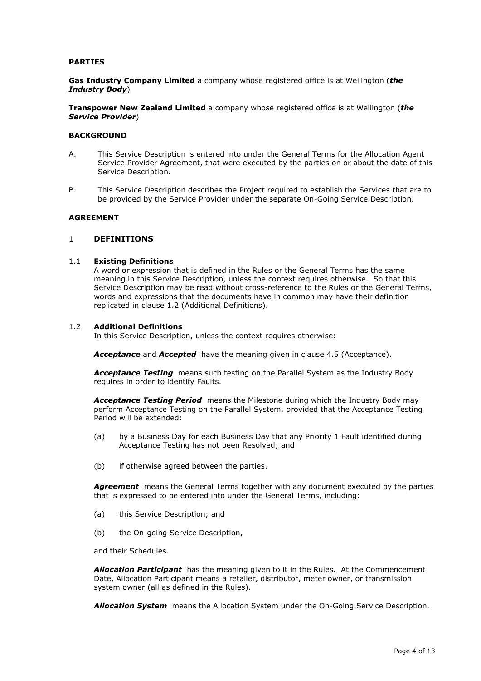#### **PARTIES**

**Gas Industry Company Limited** a company whose registered office is at Wellington (*the Industry Body*)

**Transpower New Zealand Limited** a company whose registered office is at Wellington (*the Service Provider*)

#### **BACKGROUND**

- A. This Service Description is entered into under the General Terms for the Allocation Agent Service Provider Agreement, that were executed by the parties on or about the date of this Service Description.
- B. This Service Description describes the Project required to establish the Services that are to be provided by the Service Provider under the separate On-Going Service Description.

#### **AGREEMENT**

#### <span id="page-3-0"></span>1 **DEFINITIONS**

#### <span id="page-3-1"></span>1.1 **Existing Definitions**

A word or expression that is defined in the Rules or the General Terms has the same meaning in this Service Description, unless the context requires otherwise. So that this Service Description may be read without cross-reference to the Rules or the General Terms, words and expressions that the documents have in common may have their definition replicated in clause [1.2](#page-3-2) (Additional Definitions).

#### <span id="page-3-2"></span>1.2 **Additional Definitions**

In this Service Description, unless the context requires otherwise:

Acceptance and Accepted have the meaning given in clause [4.5](#page-9-1) (Acceptance).

*Acceptance Testing* means such testing on the Parallel System as the Industry Body requires in order to identify Faults.

*Acceptance Testing Period* means the Milestone during which the Industry Body may perform Acceptance Testing on the Parallel System, provided that the Acceptance Testing Period will be extended:

- (a) by a Business Day for each Business Day that any Priority 1 Fault identified during Acceptance Testing has not been Resolved; and
- (b) if otherwise agreed between the parties.

**Agreement** means the General Terms together with any document executed by the parties that is expressed to be entered into under the General Terms, including:

- (a) this Service Description; and
- (b) the On-going Service Description,

and their Schedules.

*Allocation Participant* has the meaning given to it in the Rules. At the Commencement Date, Allocation Participant means a retailer, distributor, meter owner, or transmission system owner (all as defined in the Rules).

*Allocation System* means the Allocation System under the On-Going Service Description.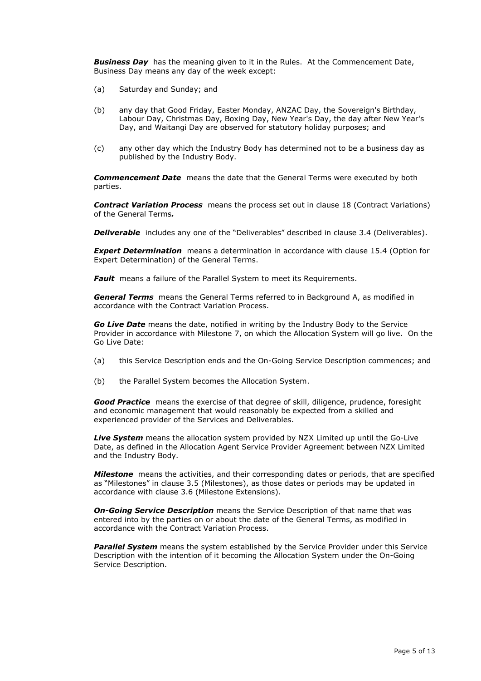*Business Day* has the meaning given to it in the Rules. At the Commencement Date, Business Day means any day of the week except:

- (a) Saturday and Sunday; and
- (b) any day that Good Friday, Easter Monday, ANZAC Day, the Sovereign's Birthday, Labour Day, Christmas Day, Boxing Day, New Year's Day, the day after New Year's Day, and Waitangi Day are observed for statutory holiday purposes; and
- (c) any other day which the Industry Body has determined not to be a business day as published by the Industry Body.

*Commencement Date* means the date that the General Terms were executed by both parties.

*Contract Variation Process* means the process set out in clause 18 (Contract Variations) of the General Terms*.*

**Deliverable** includes any one of the "Deliverables" described in clause [3.4](#page-7-0) (Deliverables).

**Expert Determination** means a determination in accordance with clause 15.4 (Option for Expert Determination) of the General Terms.

**Fault** means a failure of the Parallel System to meet its Requirements.

*General Terms* means the General Terms referred to in Background A, as modified in accordance with the Contract Variation Process.

*Go Live Date* means the date, notified in writing by the Industry Body to the Service Provider in accordance with Milestone 7, on which the Allocation System will go live. On the Go Live Date:

- (a) this Service Description ends and the On-Going Service Description commences; and
- (b) the Parallel System becomes the Allocation System.

*Good Practice* means the exercise of that degree of skill, diligence, prudence, foresight and economic management that would reasonably be expected from a skilled and experienced provider of the Services and Deliverables.

*Live System* means the allocation system provided by NZX Limited up until the Go-Live Date, as defined in the Allocation Agent Service Provider Agreement between NZX Limited and the Industry Body.

*Milestone*means the activities, and their corresponding dates or periods, that are specified as "Milestones" in clause [3.5](#page-7-1) (Milestones), as those dates or periods may be updated in accordance with clause [3.6](#page-8-0) (Milestone Extensions).

*On-Going Service Description* means the Service Description of that name that was entered into by the parties on or about the date of the General Terms, as modified in accordance with the Contract Variation Process.

**Parallel System** means the system established by the Service Provider under this Service Description with the intention of it becoming the Allocation System under the On-Going Service Description.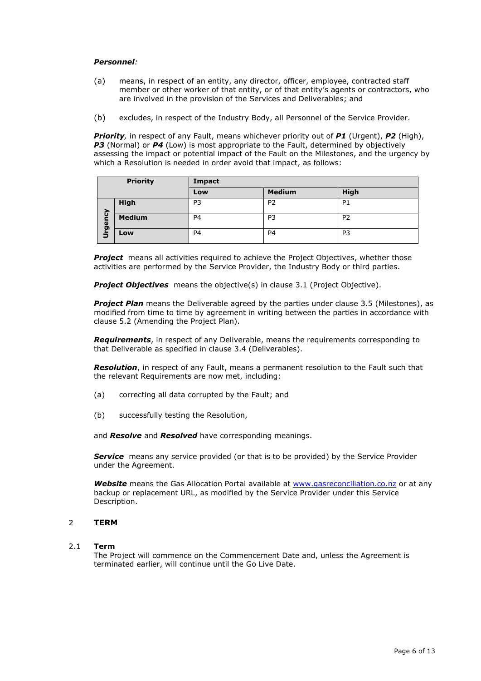#### *Personnel:*

- (a) means, in respect of an entity, any director, officer, employee, contracted staff member or other worker of that entity, or of that entity's agents or contractors, who are involved in the provision of the Services and Deliverables; and
- (b) excludes, in respect of the Industry Body, all Personnel of the Service Provider.

*Priority,* in respect of any Fault, means whichever priority out of *P1* (Urgent), *P2* (High), **P3** (Normal) or **P4** (Low) is most appropriate to the Fault, determined by objectively assessing the impact or potential impact of the Fault on the Milestones, and the urgency by which a Resolution is needed in order avoid that impact, as follows:

| <b>Priority</b> |               | Impact         |                |                |
|-----------------|---------------|----------------|----------------|----------------|
|                 |               | Low            | <b>Medium</b>  | <b>High</b>    |
| ট               | High          | P3             | P <sub>2</sub> | P <sub>1</sub> |
| gen             | <b>Medium</b> | P <sub>4</sub> | P <sub>3</sub> | P <sub>2</sub> |
| ぅ               | Low           | P <sub>4</sub> | P <sub>4</sub> | P3             |

**Project** means all activities required to achieve the Project Objectives, whether those activities are performed by the Service Provider, the Industry Body or third parties.

**Project Objectives** means the objective(s) in clause [3.1](#page-6-1) (Project Objective).

**Project Plan** means the Deliverable agreed by the parties under clause [3.5](#page-7-1) (Milestones), as modified from time to time by agreement in writing between the parties in accordance with clause [5.2](#page-10-2) (Amending the Project Plan).

*Requirements*, in respect of any Deliverable, means the requirements corresponding to that Deliverable as specified in clause [3.4](#page-7-0) (Deliverables).

*Resolution*, in respect of any Fault, means a permanent resolution to the Fault such that the relevant Requirements are now met, including:

- (a) correcting all data corrupted by the Fault; and
- (b) successfully testing the Resolution,

and *Resolve* and *Resolved* have corresponding meanings.

**Service** means any service provided (or that is to be provided) by the Service Provider under the Agreement.

*Website* means the Gas Allocation Portal available at [www.gasreconciliation.co.nz](http://www.gasreconciliation.co.nz/) or at any backup or replacement URL, as modified by the Service Provider under this Service Description.

#### <span id="page-5-0"></span>2 **TERM**

#### <span id="page-5-1"></span>2.1 **Term**

The Project will commence on the Commencement Date and, unless the Agreement is terminated earlier, will continue until the Go Live Date.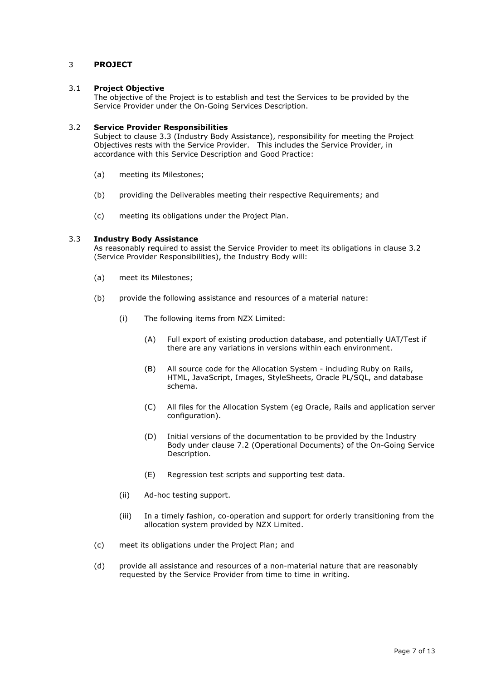#### <span id="page-6-0"></span>3 **PROJECT**

#### <span id="page-6-1"></span>3.1 **Project Objective**

The objective of the Project is to establish and test the Services to be provided by the Service Provider under the On-Going Services Description.

#### <span id="page-6-2"></span>3.2 **Service Provider Responsibilities**

Subject to clause [3.3](#page-6-3) (Industry Body Assistance), responsibility for meeting the Project Objectives rests with the Service Provider. This includes the Service Provider, in accordance with this Service Description and Good Practice:

- (a) meeting its Milestones;
- (b) providing the Deliverables meeting their respective Requirements; and
- (c) meeting its obligations under the Project Plan.

#### <span id="page-6-3"></span>3.3 **Industry Body Assistance**

As reasonably required to assist the Service Provider to meet its obligations in clause [3.2](#page-6-2) (Service Provider Responsibilities), the Industry Body will:

- (a) meet its Milestones;
- (b) provide the following assistance and resources of a material nature:
	- (i) The following items from NZX Limited:
		- (A) Full export of existing production database, and potentially UAT/Test if there are any variations in versions within each environment.
		- (B) All source code for the Allocation System including Ruby on Rails, HTML, JavaScript, Images, StyleSheets, Oracle PL/SQL, and database schema.
		- (C) All files for the Allocation System (eg Oracle, Rails and application server configuration).
		- (D) Initial versions of the documentation to be provided by the Industry Body under clause 7.2 (Operational Documents) of the On-Going Service Description.
		- (E) Regression test scripts and supporting test data.
	- (ii) Ad-hoc testing support.
	- (iii) In a timely fashion, co-operation and support for orderly transitioning from the allocation system provided by NZX Limited.
- (c) meet its obligations under the Project Plan; and
- (d) provide all assistance and resources of a non-material nature that are reasonably requested by the Service Provider from time to time in writing.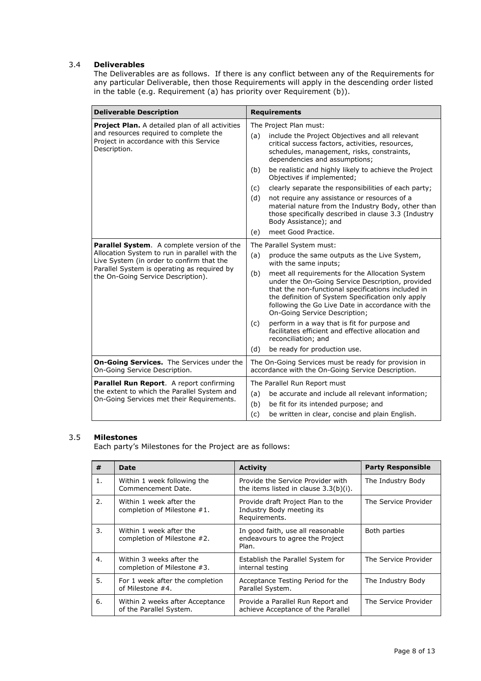#### <span id="page-7-0"></span>3.4 **Deliverables**

The Deliverables are as follows. If there is any conflict between any of the Requirements for any particular Deliverable, then those Requirements will apply in the descending order listed in the table (e.g. Requirement (a) has priority over Requirement (b)).

| <b>Deliverable Description</b>                                                                    | <b>Requirements</b>                                                                                                                                                                                                                                                                                         |  |  |
|---------------------------------------------------------------------------------------------------|-------------------------------------------------------------------------------------------------------------------------------------------------------------------------------------------------------------------------------------------------------------------------------------------------------------|--|--|
| Project Plan. A detailed plan of all activities                                                   | The Project Plan must:                                                                                                                                                                                                                                                                                      |  |  |
| and resources required to complete the<br>Project in accordance with this Service<br>Description. | (a)<br>include the Project Objectives and all relevant<br>critical success factors, activities, resources,<br>schedules, management, risks, constraints,<br>dependencies and assumptions;                                                                                                                   |  |  |
|                                                                                                   | be realistic and highly likely to achieve the Project<br>(b)<br>Objectives if implemented;                                                                                                                                                                                                                  |  |  |
|                                                                                                   | clearly separate the responsibilities of each party;<br>(c)                                                                                                                                                                                                                                                 |  |  |
|                                                                                                   | (d)<br>not require any assistance or resources of a<br>material nature from the Industry Body, other than<br>those specifically described in clause 3.3 (Industry<br>Body Assistance); and                                                                                                                  |  |  |
|                                                                                                   | meet Good Practice.<br>(e)                                                                                                                                                                                                                                                                                  |  |  |
| Parallel System. A complete version of the                                                        | The Parallel System must:                                                                                                                                                                                                                                                                                   |  |  |
| Allocation System to run in parallel with the<br>Live System (in order to confirm that the        | (a)<br>produce the same outputs as the Live System,<br>with the same inputs;                                                                                                                                                                                                                                |  |  |
| Parallel System is operating as required by<br>the On-Going Service Description).                 | meet all requirements for the Allocation System<br>(b)<br>under the On-Going Service Description, provided<br>that the non-functional specifications included in<br>the definition of System Specification only apply<br>following the Go Live Date in accordance with the<br>On-Going Service Description; |  |  |
|                                                                                                   | perform in a way that is fit for purpose and<br>(c)<br>facilitates efficient and effective allocation and<br>reconciliation; and                                                                                                                                                                            |  |  |
|                                                                                                   | be ready for production use.<br>(d)                                                                                                                                                                                                                                                                         |  |  |
| On-Going Services. The Services under the<br>On-Going Service Description.                        | The On-Going Services must be ready for provision in<br>accordance with the On-Going Service Description.                                                                                                                                                                                                   |  |  |
| <b>Parallel Run Report.</b> A report confirming                                                   | The Parallel Run Report must                                                                                                                                                                                                                                                                                |  |  |
| the extent to which the Parallel System and<br>On-Going Services met their Requirements.          | (a)<br>be accurate and include all relevant information;                                                                                                                                                                                                                                                    |  |  |
|                                                                                                   | (b)<br>be fit for its intended purpose; and                                                                                                                                                                                                                                                                 |  |  |
|                                                                                                   | (c)<br>be written in clear, concise and plain English.                                                                                                                                                                                                                                                      |  |  |

## <span id="page-7-1"></span>3.5 **Milestones**

Each party's Milestones for the Project are as follows:

| #  | Date                                                       | <b>Activity</b>                                                                 | <b>Party Responsible</b> |
|----|------------------------------------------------------------|---------------------------------------------------------------------------------|--------------------------|
| 1. | Within 1 week following the<br>Commencement Date.          | Provide the Service Provider with<br>the items listed in clause $3.3(b)(i)$ .   | The Industry Body        |
| 2. | Within 1 week after the<br>completion of Milestone #1.     | Provide draft Project Plan to the<br>Industry Body meeting its<br>Requirements. | The Service Provider     |
| 3. | Within 1 week after the<br>completion of Milestone #2.     | In good faith, use all reasonable<br>endeavours to agree the Project<br>Plan.   | Both parties             |
| 4. | Within 3 weeks after the<br>completion of Milestone #3.    | Establish the Parallel System for<br>internal testing                           | The Service Provider     |
| 5. | For 1 week after the completion<br>of Milestone #4.        | Acceptance Testing Period for the<br>Parallel System.                           | The Industry Body        |
| 6. | Within 2 weeks after Acceptance<br>of the Parallel System. | Provide a Parallel Run Report and<br>achieve Acceptance of the Parallel         | The Service Provider     |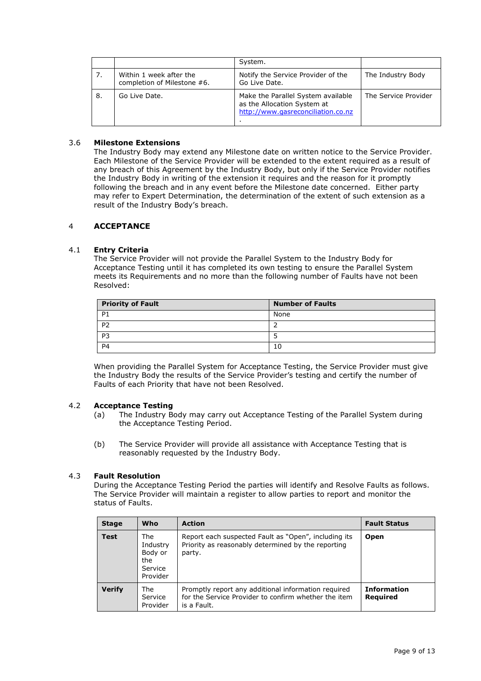|    |                                                        | System.                                                                                                 |                      |
|----|--------------------------------------------------------|---------------------------------------------------------------------------------------------------------|----------------------|
| 7. | Within 1 week after the<br>completion of Milestone #6. | Notify the Service Provider of the<br>Go Live Date.                                                     | The Industry Body    |
| 8. | Go Live Date.                                          | Make the Parallel System available<br>as the Allocation System at<br>http://www.gasreconciliation.co.nz | The Service Provider |

#### <span id="page-8-0"></span>3.6 **Milestone Extensions**

The Industry Body may extend any Milestone date on written notice to the Service Provider. Each Milestone of the Service Provider will be extended to the extent required as a result of any breach of this Agreement by the Industry Body, but only if the Service Provider notifies the Industry Body in writing of the extension it requires and the reason for it promptly following the breach and in any event before the Milestone date concerned. Either party may refer to Expert Determination, the determination of the extent of such extension as a result of the Industry Body's breach.

#### <span id="page-8-1"></span>4 **ACCEPTANCE**

#### <span id="page-8-2"></span>4.1 **Entry Criteria**

The Service Provider will not provide the Parallel System to the Industry Body for Acceptance Testing until it has completed its own testing to ensure the Parallel System meets its Requirements and no more than the following number of Faults have not been Resolved:

| <b>Priority of Fault</b> | <b>Number of Faults</b> |
|--------------------------|-------------------------|
| <b>P1</b>                | None                    |
| <b>P2</b>                |                         |
| P <sub>3</sub>           |                         |
| <b>P4</b>                | 10                      |

When providing the Parallel System for Acceptance Testing, the Service Provider must give the Industry Body the results of the Service Provider's testing and certify the number of Faults of each Priority that have not been Resolved.

#### <span id="page-8-3"></span>4.2 **Acceptance Testing**

- (a) The Industry Body may carry out Acceptance Testing of the Parallel System during the Acceptance Testing Period.
- (b) The Service Provider will provide all assistance with Acceptance Testing that is reasonably requested by the Industry Body.

#### <span id="page-8-4"></span>4.3 **Fault Resolution**

During the Acceptance Testing Period the parties will identify and Resolve Faults as follows. The Service Provider will maintain a register to allow parties to report and monitor the status of Faults.

| <b>Stage</b>  | Who                                                      | <b>Action</b>                                                                                                              | <b>Fault Status</b>            |
|---------------|----------------------------------------------------------|----------------------------------------------------------------------------------------------------------------------------|--------------------------------|
| <b>Test</b>   | The<br>Industry<br>Body or<br>the<br>Service<br>Provider | Report each suspected Fault as "Open", including its<br>Priority as reasonably determined by the reporting<br>party.       | <b>Open</b>                    |
| <b>Verify</b> | The<br>Service<br>Provider                               | Promptly report any additional information required<br>for the Service Provider to confirm whether the item<br>is a Fault. | <b>Information</b><br>Required |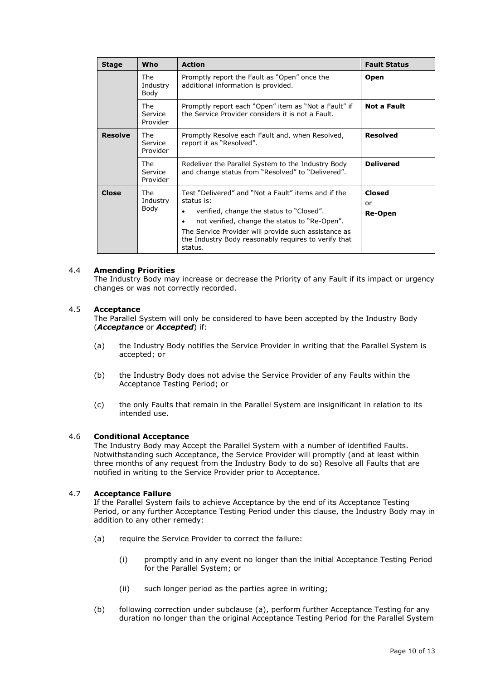| <b>Stage</b>   | Who                               | <b>Action</b>                                                                                                                                                                                                                                                                                               | <b>Fault Status</b>            |
|----------------|-----------------------------------|-------------------------------------------------------------------------------------------------------------------------------------------------------------------------------------------------------------------------------------------------------------------------------------------------------------|--------------------------------|
|                | The<br>Industry<br>Body           | Promptly report the Fault as "Open" once the<br>additional information is provided.                                                                                                                                                                                                                         | <b>Open</b>                    |
|                | <b>The</b><br>Service<br>Provider | Promptly report each "Open" item as "Not a Fault" if<br>the Service Provider considers it is not a Fault.                                                                                                                                                                                                   | <b>Not a Fault</b>             |
| <b>Resolve</b> | The.<br>Service<br>Provider       | Promptly Resolve each Fault and, when Resolved,<br>report it as "Resolved".                                                                                                                                                                                                                                 | <b>Resolved</b>                |
|                | <b>The</b><br>Service<br>Provider | Redeliver the Parallel System to the Industry Body<br>and change status from "Resolved" to "Delivered".                                                                                                                                                                                                     | <b>Delivered</b>               |
| Close          | The.<br>Industry<br>Body          | Test "Delivered" and "Not a Fault" items and if the<br>status is:<br>verified, change the status to "Closed".<br>٠<br>not verified, change the status to "Re-Open".<br>$\bullet$<br>The Service Provider will provide such assistance as<br>the Industry Body reasonably requires to verify that<br>status. | <b>Closed</b><br>or<br>Re-Open |

#### <span id="page-9-0"></span>4.4 **Amending Priorities**

The Industry Body may increase or decrease the Priority of any Fault if its impact or urgency changes or was not correctly recorded.

#### <span id="page-9-1"></span>4.5 **Acceptance**

The Parallel System will only be considered to have been accepted by the Industry Body (*Acceptance* or *Accepted*) if:

- (a) the Industry Body notifies the Service Provider in writing that the Parallel System is accepted; or
- (b) the Industry Body does not advise the Service Provider of any Faults within the Acceptance Testing Period; or
- (c) the only Faults that remain in the Parallel System are insignificant in relation to its intended use.

#### <span id="page-9-2"></span>4.6 **Conditional Acceptance**

The Industry Body may Accept the Parallel System with a number of identified Faults. Notwithstanding such Acceptance, the Service Provider will promptly (and at least within three months of any request from the Industry Body to do so) Resolve all Faults that are notified in writing to the Service Provider prior to Acceptance.

#### <span id="page-9-3"></span>4.7 **Acceptance Failure**

If the Parallel System fails to achieve Acceptance by the end of its Acceptance Testing Period, or any further Acceptance Testing Period under this clause, the Industry Body may in addition to any other remedy:

- (a) require the Service Provider to correct the failure:
	- (i) promptly and in any event no longer than the initial Acceptance Testing Period for the Parallel System; or
	- (ii) such longer period as the parties agree in writing;
- (b) following correction under subclause (a), perform further Acceptance Testing for any duration no longer than the original Acceptance Testing Period for the Parallel System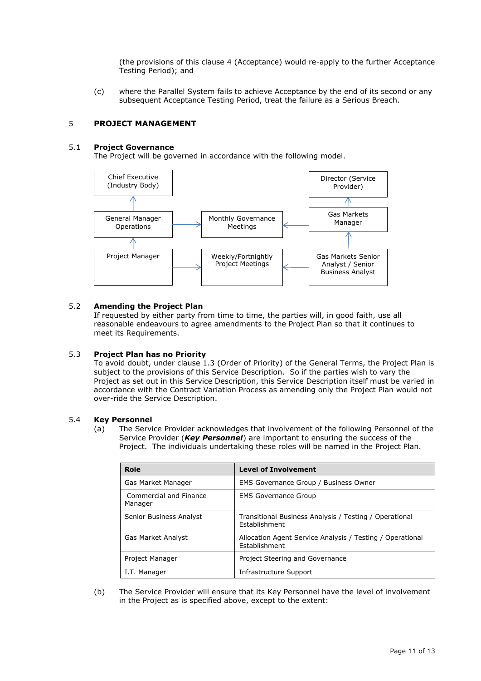(the provisions of this clause [4](#page-8-1) (Acceptance) would re-apply to the further Acceptance Testing Period); and

(c) where the Parallel System fails to achieve Acceptance by the end of its second or any subsequent Acceptance Testing Period, treat the failure as a Serious Breach.

#### <span id="page-10-0"></span>5 **PROJECT MANAGEMENT**

#### <span id="page-10-1"></span>5.1 **Project Governance**

The Project will be governed in accordance with the following model.



#### <span id="page-10-2"></span>5.2 **Amending the Project Plan**

If requested by either party from time to time, the parties will, in good faith, use all reasonable endeavours to agree amendments to the Project Plan so that it continues to meet its Requirements.

#### <span id="page-10-3"></span>5.3 **Project Plan has no Priority**

To avoid doubt, under clause 1.3 (Order of Priority) of the General Terms, the Project Plan is subject to the provisions of this Service Description. So if the parties wish to vary the Project as set out in this Service Description, this Service Description itself must be varied in accordance with the Contract Variation Process as amending only the Project Plan would not over-ride the Service Description.

#### <span id="page-10-4"></span>5.4 **Key Personnel**

(a) The Service Provider acknowledges that involvement of the following Personnel of the Service Provider (*Key Personnel*) are important to ensuring the success of the Project. The individuals undertaking these roles will be named in the Project Plan.

| Role                              | <b>Level of Involvement</b>                                                |
|-----------------------------------|----------------------------------------------------------------------------|
| Gas Market Manager                | EMS Governance Group / Business Owner                                      |
| Commercial and Finance<br>Manager | <b>EMS Governance Group</b>                                                |
| Senior Business Analyst           | Transitional Business Analysis / Testing / Operational<br>Establishment    |
| Gas Market Analyst                | Allocation Agent Service Analysis / Testing / Operational<br>Establishment |
| Project Manager                   | Project Steering and Governance                                            |
| I.T. Manager                      | Infrastructure Support                                                     |

(b) The Service Provider will ensure that its Key Personnel have the level of involvement in the Project as is specified above, except to the extent: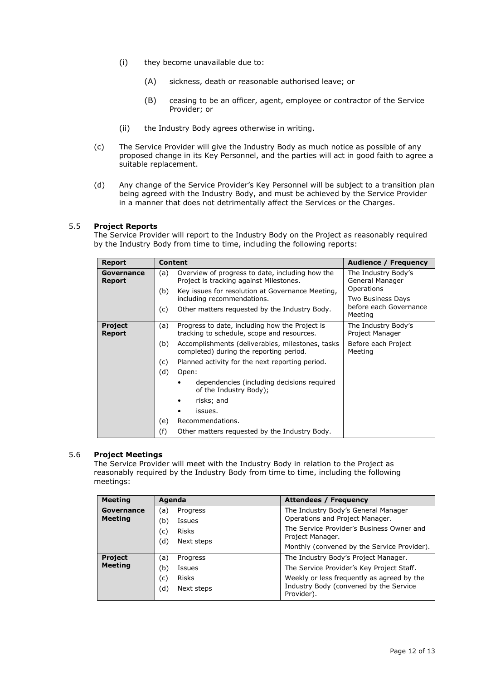- (i) they become unavailable due to:
	- (A) sickness, death or reasonable authorised leave; or
	- (B) ceasing to be an officer, agent, employee or contractor of the Service Provider; or
- (ii) the Industry Body agrees otherwise in writing.
- (c) The Service Provider will give the Industry Body as much notice as possible of any proposed change in its Key Personnel, and the parties will act in good faith to agree a suitable replacement.
- (d) Any change of the Service Provider's Key Personnel will be subject to a transition plan being agreed with the Industry Body, and must be achieved by the Service Provider in a manner that does not detrimentally affect the Services or the Charges.

#### <span id="page-11-0"></span>5.5 **Project Reports**

The Service Provider will report to the Industry Body on the Project as reasonably required by the Industry Body from time to time, including the following reports:

| <b>Report</b>                   | <b>Content</b>                                                                                      | Audience / Frequency                   |
|---------------------------------|-----------------------------------------------------------------------------------------------------|----------------------------------------|
| Governance<br>Report            | Overview of progress to date, including how the<br>(a)<br>Project is tracking against Milestones.   | The Industry Body's<br>General Manager |
|                                 | (b)<br>Key issues for resolution at Governance Meeting,<br>including recommendations.               | Operations<br>Two Business Days        |
|                                 | Other matters requested by the Industry Body.<br>(c)                                                | before each Governance<br>Meeting      |
| <b>Project</b><br><b>Report</b> | Progress to date, including how the Project is<br>(a)<br>tracking to schedule, scope and resources. | The Industry Body's<br>Project Manager |
|                                 | (b)<br>Accomplishments (deliverables, milestones, tasks<br>completed) during the reporting period.  | Before each Project<br>Meeting         |
|                                 | Planned activity for the next reporting period.<br>(c)                                              |                                        |
|                                 | (d)<br>Open:                                                                                        |                                        |
|                                 | dependencies (including decisions required<br>of the Industry Body);                                |                                        |
|                                 | risks; and                                                                                          |                                        |
|                                 | issues.                                                                                             |                                        |
|                                 | Recommendations.<br>(e)                                                                             |                                        |
|                                 | (f)<br>Other matters requested by the Industry Body.                                                |                                        |

#### <span id="page-11-1"></span>5.6 **Project Meetings**

The Service Provider will meet with the Industry Body in relation to the Project as reasonably required by the Industry Body from time to time, including the following meetings:

| <b>Meeting</b>                   | Agenda                                                                       | <b>Attendees / Frequency</b>                                                                                                                                                            |
|----------------------------------|------------------------------------------------------------------------------|-----------------------------------------------------------------------------------------------------------------------------------------------------------------------------------------|
| Governance<br><b>Meeting</b>     | (a)<br>Progress<br>(b)<br>Issues                                             | The Industry Body's General Manager<br>Operations and Project Manager.                                                                                                                  |
|                                  | (c)<br><b>Risks</b><br>(d)<br>Next steps                                     | The Service Provider's Business Owner and<br>Project Manager.<br>Monthly (convened by the Service Provider).                                                                            |
| <b>Project</b><br><b>Meeting</b> | (a)<br>Progress<br>(b)<br>Issues<br><b>Risks</b><br>(c)<br>(d)<br>Next steps | The Industry Body's Project Manager.<br>The Service Provider's Key Project Staff.<br>Weekly or less frequently as agreed by the<br>Industry Body (convened by the Service<br>Provider). |